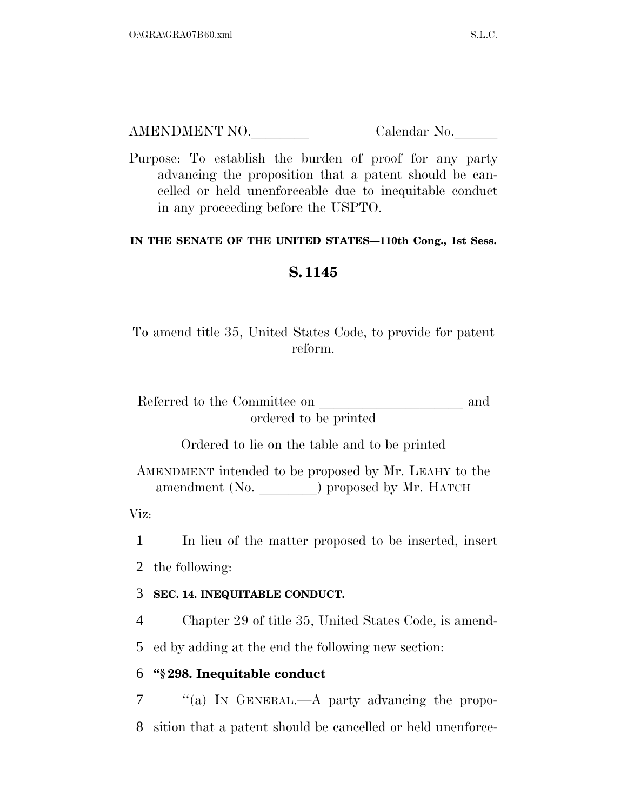AMENDMENT NO. Calendar No.

Purpose: To establish the burden of proof for any party advancing the proposition that a patent should be cancelled or held unenforceable due to inequitable conduct in any proceeding before the USPTO.

## **IN THE SENATE OF THE UNITED STATES—110th Cong., 1st Sess.**

## **S. 1145**

To amend title 35, United States Code, to provide for patent reform.

Referred to the Committee on learning and learning and learning and learning and learning and learning and learning and learning and learning and learning and learning and learning and learning and learning and learning an ordered to be printed

Ordered to lie on the table and to be printed

AMENDMENT intended to be proposed by Mr. LEAHY to the amendment  $(N_0.$  ) proposed by Mr. HATCH

Viz:

1 In lieu of the matter proposed to be inserted, insert

2 the following:

## 3 **SEC. 14. INEQUITABLE CONDUCT.**

4 Chapter 29 of title 35, United States Code, is amend-

5 ed by adding at the end the following new section:

## 6 **''§ 298. Inequitable conduct**

7 ''(a) IN GENERAL.—A party advancing the propo-8 sition that a patent should be cancelled or held unenforce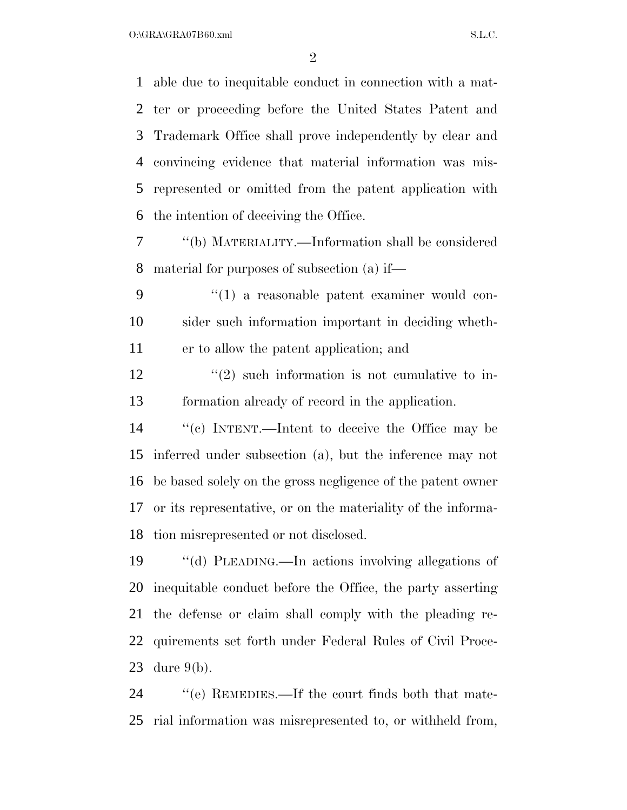$O:\overline{GRA}\setminus GRA$   $S.L.C.$ 

 able due to inequitable conduct in connection with a mat- ter or proceeding before the United States Patent and Trademark Office shall prove independently by clear and convincing evidence that material information was mis- represented or omitted from the patent application with the intention of deceiving the Office.

 ''(b) MATERIALITY.—Information shall be considered material for purposes of subsection (a) if—

9  $\frac{1}{2}$  (1) a reasonable patent examiner would con- sider such information important in deciding wheth-er to allow the patent application; and

 $\frac{12}{2}$  ''(2) such information is not cumulative to in-formation already of record in the application.

 ''(c) INTENT.—Intent to deceive the Office may be inferred under subsection (a), but the inference may not be based solely on the gross negligence of the patent owner or its representative, or on the materiality of the informa-tion misrepresented or not disclosed.

 ''(d) PLEADING.—In actions involving allegations of inequitable conduct before the Office, the party asserting the defense or claim shall comply with the pleading re- quirements set forth under Federal Rules of Civil Proce-dure 9(b).

24 "'(e) REMEDIES.—If the court finds both that mate-rial information was misrepresented to, or withheld from,